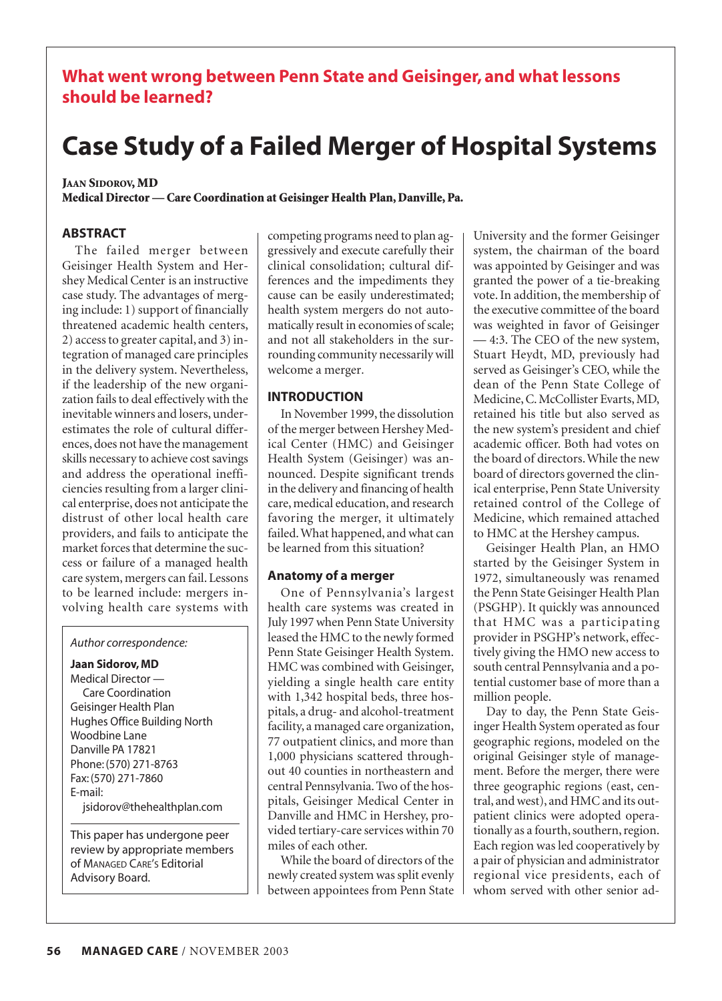# **What went wrong between Penn State and Geisinger, and what lessons should be learned?**

# **Case Study of a Failed Merger of Hospital Systems**

# **JAAN SIDOROV, MD**

**Medical Director — Care Coordination at Geisinger Health Plan, Danville, Pa.**

# **ABSTRACT**

The failed merger between Geisinger Health System and Hershey Medical Center is an instructive case study. The advantages of merging include: 1) support of financially threatened academic health centers, 2) access to greater capital, and 3) integration of managed care principles in the delivery system. Nevertheless, if the leadership of the new organization fails to deal effectively with the inevitable winners and losers, underestimates the role of cultural differences, does not have the management skills necessary to achieve cost savings and address the operational inefficiencies resulting from a larger clinical enterprise, does not anticipate the distrust of other local health care providers, and fails to anticipate the market forces that determine the success or failure of a managed health care system, mergers can fail. Lessons to be learned include: mergers involving health care systems with

#### *Author correspondence:*

**Jaan Sidorov, MD** Medical Director — Care Coordination Geisinger Health Plan Hughes Office Building North Woodbine Lane Danville PA 17821 Phone: (570) 271-8763 Fax: (570) 271-7860 E-mail: jsidorov@thehealthplan.com

This paper has undergone peer review by appropriate members of MANAGED CARE'S Editorial Advisory Board.

competing programs need to plan aggressively and execute carefully their clinical consolidation; cultural differences and the impediments they cause can be easily underestimated; health system mergers do not automatically result in economies of scale; and not all stakeholders in the surrounding community necessarily will welcome a merger*.*

# **INTRODUCTION**

In November 1999, the dissolution of the merger between Hershey Medical Center (HMC) and Geisinger Health System (Geisinger) was announced. Despite significant trends in the delivery and financing of health care, medical education, and research favoring the merger, it ultimately failed. What happened, and what can be learned from this situation?

# **Anatomy of a merger**

One of Pennsylvania's largest health care systems was created in July 1997 when Penn State University leased the HMC to the newly formed Penn State Geisinger Health System. HMC was combined with Geisinger, yielding a single health care entity with 1,342 hospital beds, three hospitals, a drug- and alcohol-treatment facility, a managed care organization, 77 outpatient clinics, and more than 1,000 physicians scattered throughout 40 counties in northeastern and central Pennsylvania. Two of the hospitals, Geisinger Medical Center in Danville and HMC in Hershey, provided tertiary-care services within 70 miles of each other.

While the board of directors of the newly created system was split evenly between appointees from Penn State University and the former Geisinger system, the chairman of the board was appointed by Geisinger and was granted the power of a tie-breaking vote. In addition, the membership of the executive committee of the board was weighted in favor of Geisinger — 4:3. The CEO of the new system, Stuart Heydt, MD, previously had served as Geisinger's CEO, while the dean of the Penn State College of Medicine, C. McCollister Evarts, MD, retained his title but also served as the new system's president and chief academic officer. Both had votes on the board of directors. While the new board of directors governed the clinical enterprise, Penn State University retained control of the College of Medicine, which remained attached to HMC at the Hershey campus.

Geisinger Health Plan, an HMO started by the Geisinger System in 1972, simultaneously was renamed the Penn State Geisinger Health Plan (PSGHP). It quickly was announced that HMC was a participating provider in PSGHP's network, effectively giving the HMO new access to south central Pennsylvania and a potential customer base of more than a million people.

Day to day, the Penn State Geisinger Health System operated as four geographic regions, modeled on the original Geisinger style of management. Before the merger, there were three geographic regions (east, central, and west), and HMC and its outpatient clinics were adopted operationally as a fourth, southern, region. Each region was led cooperatively by a pair of physician and administrator regional vice presidents, each of whom served with other senior ad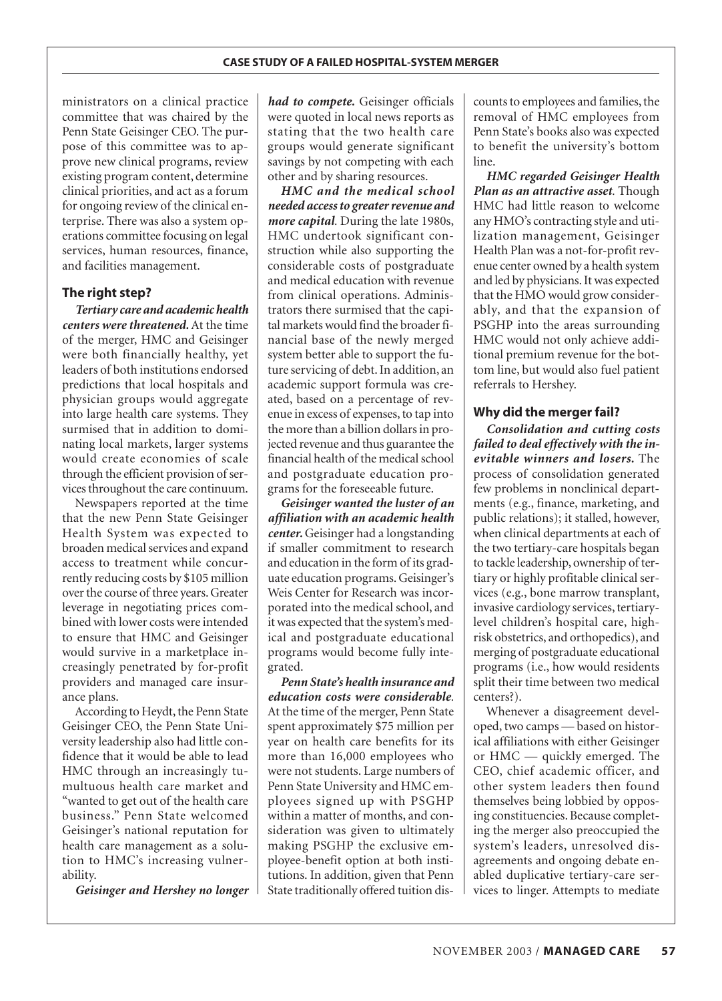ministrators on a clinical practice committee that was chaired by the Penn State Geisinger CEO. The purpose of this committee was to approve new clinical programs, review existing program content, determine clinical priorities, and act as a forum for ongoing review of the clinical enterprise. There was also a system operations committee focusing on legal services, human resources, finance, and facilities management.

# **The right step?**

*Tertiary care and academic health centers were threatened.* At the time of the merger, HMC and Geisinger were both financially healthy, yet leaders of both institutions endorsed predictions that local hospitals and physician groups would aggregate into large health care systems. They surmised that in addition to dominating local markets, larger systems would create economies of scale through the efficient provision of services throughout the care continuum.

Newspapers reported at the time that the new Penn State Geisinger Health System was expected to broaden medical services and expand access to treatment while concurrently reducing costs by \$105 million over the course of three years. Greater leverage in negotiating prices combined with lower costs were intended to ensure that HMC and Geisinger would survive in a marketplace increasingly penetrated by for-profit providers and managed care insurance plans.

According to Heydt, the Penn State Geisinger CEO, the Penn State University leadership also had little confidence that it would be able to lead HMC through an increasingly tumultuous health care market and "wanted to get out of the health care business." Penn State welcomed Geisinger's national reputation for health care management as a solution to HMC's increasing vulnerability.

*Geisinger and Hershey no longer*

*had to compete.* Geisinger officials were quoted in local news reports as stating that the two health care groups would generate significant savings by not competing with each other and by sharing resources.

*HMC and the medical school needed access to greater revenue and more capital.* During the late 1980s, HMC undertook significant construction while also supporting the considerable costs of postgraduate and medical education with revenue from clinical operations. Administrators there surmised that the capital markets would find the broader financial base of the newly merged system better able to support the future servicing of debt. In addition, an academic support formula was created, based on a percentage of revenue in excess of expenses, to tap into the more than a billion dollars in projected revenue and thus guarantee the financial health of the medical school and postgraduate education programs for the foreseeable future.

*Geisinger wanted the luster of an affiliation with an academic health center.* Geisinger had a longstanding if smaller commitment to research and education in the form of its graduate education programs. Geisinger's Weis Center for Research was incorporated into the medical school, and it was expected that the system's medical and postgraduate educational programs would become fully integrated.

*Penn State's health insurance and education costs were considerable.* At the time of the merger, Penn State spent approximately \$75 million per year on health care benefits for its more than 16,000 employees who were not students. Large numbers of Penn State University and HMC employees signed up with PSGHP within a matter of months, and consideration was given to ultimately making PSGHP the exclusive employee-benefit option at both institutions. In addition, given that Penn State traditionally offered tuition dis-

counts to employees and families, the removal of HMC employees from Penn State's books also was expected to benefit the university's bottom line.

*HMC regarded Geisinger Health Plan as an attractive asset.* Though HMC had little reason to welcome any HMO's contracting style and utilization management, Geisinger Health Plan was a not-for-profit revenue center owned by a health system and led by physicians. It was expected that the HMO would grow considerably, and that the expansion of PSGHP into the areas surrounding HMC would not only achieve additional premium revenue for the bottom line, but would also fuel patient referrals to Hershey.

# **Why did the merger fail?**

*Consolidation and cutting costs failed to deal effectively with the inevitable winners and losers.* The process of consolidation generated few problems in nonclinical departments (e.g., finance, marketing, and public relations); it stalled, however, when clinical departments at each of the two tertiary-care hospitals began to tackle leadership, ownership of tertiary or highly profitable clinical services (e.g., bone marrow transplant, invasive cardiology services, tertiarylevel children's hospital care, highrisk obstetrics, and orthopedics), and merging of postgraduate educational programs (i.e., how would residents split their time between two medical centers?).

Whenever a disagreement developed, two camps — based on historical affiliations with either Geisinger or HMC — quickly emerged. The CEO, chief academic officer, and other system leaders then found themselves being lobbied by opposing constituencies. Because completing the merger also preoccupied the system's leaders, unresolved disagreements and ongoing debate enabled duplicative tertiary-care services to linger. Attempts to mediate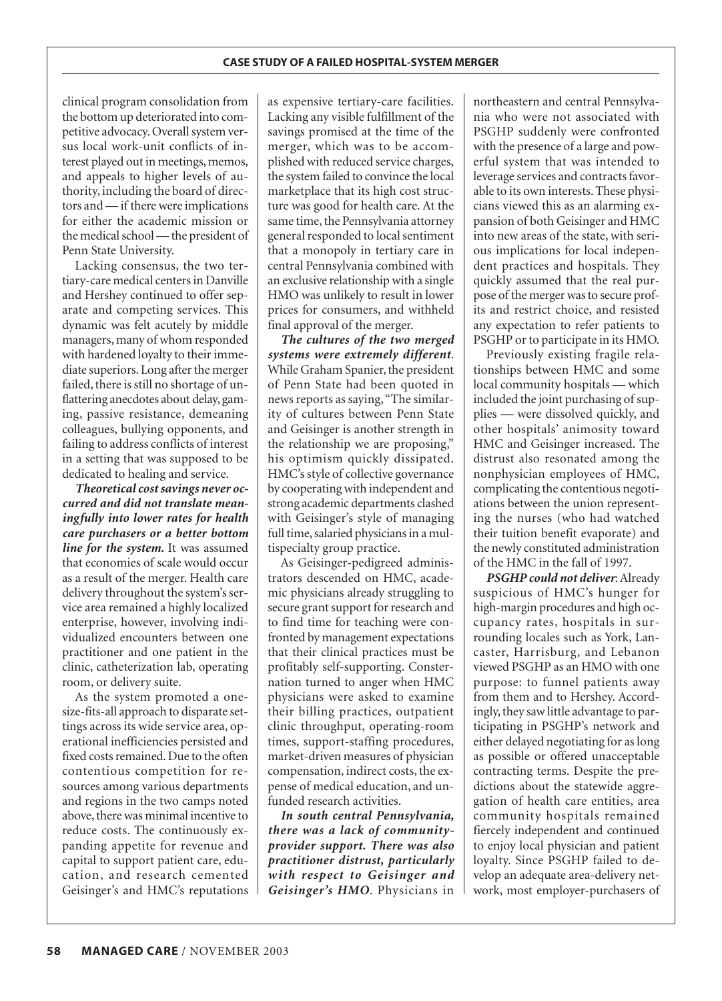clinical program consolidation from the bottom up deteriorated into competitive advocacy. Overall system versus local work-unit conflicts of interest played out in meetings, memos, and appeals to higher levels of authority, including the board of directors and — if there were implications for either the academic mission or the medical school — the president of Penn State University.

Lacking consensus, the two tertiary-care medical centers in Danville and Hershey continued to offer separate and competing services. This dynamic was felt acutely by middle managers, many of whom responded with hardened loyalty to their immediate superiors. Long after the merger failed, there is still no shortage of unflattering anecdotes about delay, gaming, passive resistance, demeaning colleagues, bullying opponents, and failing to address conflicts of interest in a setting that was supposed to be dedicated to healing and service.

*Theoretical cost savings never occurred and did not translate meaningfully into lower rates for health care purchasers or a better bottom line for the system.* It was assumed that economies of scale would occur as a result of the merger. Health care delivery throughout the system's service area remained a highly localized enterprise, however, involving individualized encounters between one practitioner and one patient in the clinic, catheterization lab, operating room, or delivery suite.

As the system promoted a onesize-fits-all approach to disparate settings across its wide service area, operational inefficiencies persisted and fixed costs remained. Due to the often contentious competition for resources among various departments and regions in the two camps noted above, there was minimal incentive to reduce costs. The continuously expanding appetite for revenue and capital to support patient care, education, and research cemented Geisinger's and HMC's reputations

as expensive tertiary-care facilities. Lacking any visible fulfillment of the savings promised at the time of the merger, which was to be accomplished with reduced service charges, the system failed to convince the local marketplace that its high cost structure was good for health care. At the same time, the Pennsylvania attorney general responded to local sentiment that a monopoly in tertiary care in central Pennsylvania combined with an exclusive relationship with a single HMO was unlikely to result in lower prices for consumers, and withheld final approval of the merger.

*The cultures of the two merged systems were extremely different.* While Graham Spanier, the president of Penn State had been quoted in news reports as saying,"The similarity of cultures between Penn State and Geisinger is another strength in the relationship we are proposing," his optimism quickly dissipated. HMC's style of collective governance by cooperating with independent and strong academic departments clashed with Geisinger's style of managing full time, salaried physicians in a multispecialty group practice.

As Geisinger-pedigreed administrators descended on HMC, academic physicians already struggling to secure grant support for research and to find time for teaching were confronted by management expectations that their clinical practices must be profitably self-supporting. Consternation turned to anger when HMC physicians were asked to examine their billing practices, outpatient clinic throughput, operating-room times, support-staffing procedures, market-driven measures of physician compensation, indirect costs, the expense of medical education, and unfunded research activities.

*In south central Pennsylvania, there was a lack of communityprovider support. There was also practitioner distrust, particularly with respect to Geisinger and Geisinger's HMO*. Physicians in

northeastern and central Pennsylvania who were not associated with PSGHP suddenly were confronted with the presence of a large and powerful system that was intended to leverage services and contracts favorable to its own interests. These physicians viewed this as an alarming expansion of both Geisinger and HMC into new areas of the state, with serious implications for local independent practices and hospitals. They quickly assumed that the real purpose of the merger was to secure profits and restrict choice, and resisted any expectation to refer patients to PSGHP or to participate in its HMO.

Previously existing fragile relationships between HMC and some local community hospitals — which included the joint purchasing of supplies — were dissolved quickly, and other hospitals' animosity toward HMC and Geisinger increased. The distrust also resonated among the nonphysician employees of HMC, complicating the contentious negotiations between the union representing the nurses (who had watched their tuition benefit evaporate) and the newly constituted administration of the HMC in the fall of 1997.

*PSGHP could not deliver*: Already suspicious of HMC's hunger for high-margin procedures and high occupancy rates, hospitals in surrounding locales such as York, Lancaster, Harrisburg, and Lebanon viewed PSGHP as an HMO with one purpose: to funnel patients away from them and to Hershey. Accordingly, they saw little advantage to participating in PSGHP's network and either delayed negotiating for as long as possible or offered unacceptable contracting terms. Despite the predictions about the statewide aggregation of health care entities, area community hospitals remained fiercely independent and continued to enjoy local physician and patient loyalty. Since PSGHP failed to develop an adequate area-delivery network, most employer-purchasers of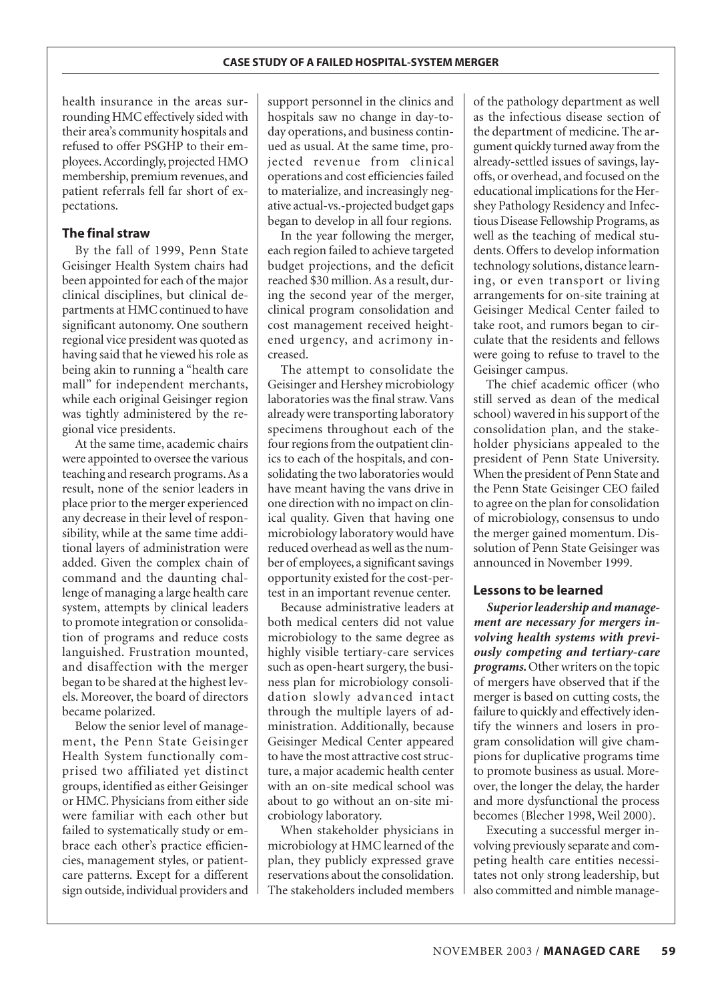health insurance in the areas surrounding HMC effectively sided with their area's community hospitals and refused to offer PSGHP to their employees.Accordingly, projected HMO membership, premium revenues, and patient referrals fell far short of expectations.

#### **The final straw**

By the fall of 1999, Penn State Geisinger Health System chairs had been appointed for each of the major clinical disciplines, but clinical departments at HMC continued to have significant autonomy. One southern regional vice president was quoted as having said that he viewed his role as being akin to running a "health care mall" for independent merchants, while each original Geisinger region was tightly administered by the regional vice presidents.

At the same time, academic chairs were appointed to oversee the various teaching and research programs. As a result, none of the senior leaders in place prior to the merger experienced any decrease in their level of responsibility, while at the same time additional layers of administration were added. Given the complex chain of command and the daunting challenge of managing a large health care system, attempts by clinical leaders to promote integration or consolidation of programs and reduce costs languished. Frustration mounted, and disaffection with the merger began to be shared at the highest levels. Moreover, the board of directors became polarized.

Below the senior level of management, the Penn State Geisinger Health System functionally comprised two affiliated yet distinct groups, identified as either Geisinger or HMC. Physicians from either side were familiar with each other but failed to systematically study or embrace each other's practice efficiencies, management styles, or patientcare patterns. Except for a different sign outside, individual providers and

support personnel in the clinics and hospitals saw no change in day-today operations, and business continued as usual. At the same time, projected revenue from clinical operations and cost efficiencies failed to materialize, and increasingly negative actual-vs.-projected budget gaps began to develop in all four regions.

In the year following the merger, each region failed to achieve targeted budget projections, and the deficit reached \$30 million. As a result, during the second year of the merger, clinical program consolidation and cost management received heightened urgency, and acrimony increased.

The attempt to consolidate the Geisinger and Hershey microbiology laboratories was the final straw. Vans already were transporting laboratory specimens throughout each of the four regions from the outpatient clinics to each of the hospitals, and consolidating the two laboratories would have meant having the vans drive in one direction with no impact on clinical quality. Given that having one microbiology laboratory would have reduced overhead as well as the number of employees, a significant savings opportunity existed for the cost-pertest in an important revenue center.

Because administrative leaders at both medical centers did not value microbiology to the same degree as highly visible tertiary-care services such as open-heart surgery, the business plan for microbiology consolidation slowly advanced intact through the multiple layers of administration. Additionally, because Geisinger Medical Center appeared to have the most attractive cost structure, a major academic health center with an on-site medical school was about to go without an on-site microbiology laboratory.

When stakeholder physicians in microbiology at HMC learned of the plan, they publicly expressed grave reservations about the consolidation. The stakeholders included members

of the pathology department as well as the infectious disease section of the department of medicine. The argument quickly turned away from the already-settled issues of savings, layoffs, or overhead, and focused on the educational implications for the Hershey Pathology Residency and Infectious Disease Fellowship Programs, as well as the teaching of medical students. Offers to develop information technology solutions, distance learning, or even transport or living arrangements for on-site training at Geisinger Medical Center failed to take root, and rumors began to circulate that the residents and fellows were going to refuse to travel to the Geisinger campus.

The chief academic officer (who still served as dean of the medical school) wavered in his support of the consolidation plan, and the stakeholder physicians appealed to the president of Penn State University. When the president of Penn State and the Penn State Geisinger CEO failed to agree on the plan for consolidation of microbiology, consensus to undo the merger gained momentum. Dissolution of Penn State Geisinger was announced in November 1999.

#### **Lessons to be learned**

*Superior leadership and management are necessary for mergers involving health systems with previously competing and tertiary-care programs.* Other writers on the topic of mergers have observed that if the merger is based on cutting costs, the failure to quickly and effectively identify the winners and losers in program consolidation will give champions for duplicative programs time to promote business as usual. Moreover, the longer the delay, the harder and more dysfunctional the process becomes (Blecher 1998, Weil 2000).

Executing a successful merger involving previously separate and competing health care entities necessitates not only strong leadership, but also committed and nimble manage